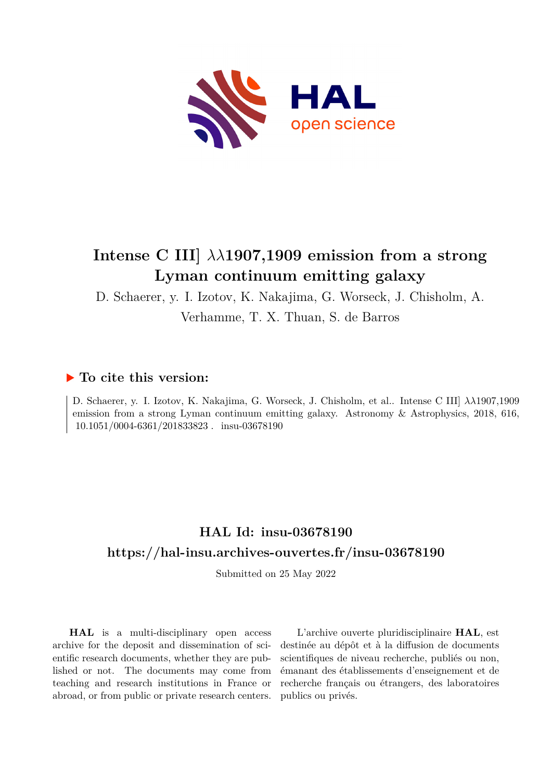

# **Intense C III]** *λλ***1907,1909 emission from a strong Lyman continuum emitting galaxy**

D. Schaerer, y. I. Izotov, K. Nakajima, G. Worseck, J. Chisholm, A.

Verhamme, T. X. Thuan, S. de Barros

## **To cite this version:**

D. Schaerer, y. I. Izotov, K. Nakajima, G. Worseck, J. Chisholm, et al.. Intense C III] *λλ*1907,1909 emission from a strong Lyman continuum emitting galaxy. Astronomy & Astrophysics, 2018, 616, 10.1051/0004-6361/201833823. insu-03678190

## **HAL Id: insu-03678190 <https://hal-insu.archives-ouvertes.fr/insu-03678190>**

Submitted on 25 May 2022

**HAL** is a multi-disciplinary open access archive for the deposit and dissemination of scientific research documents, whether they are published or not. The documents may come from teaching and research institutions in France or abroad, or from public or private research centers.

L'archive ouverte pluridisciplinaire **HAL**, est destinée au dépôt et à la diffusion de documents scientifiques de niveau recherche, publiés ou non, émanant des établissements d'enseignement et de recherche français ou étrangers, des laboratoires publics ou privés.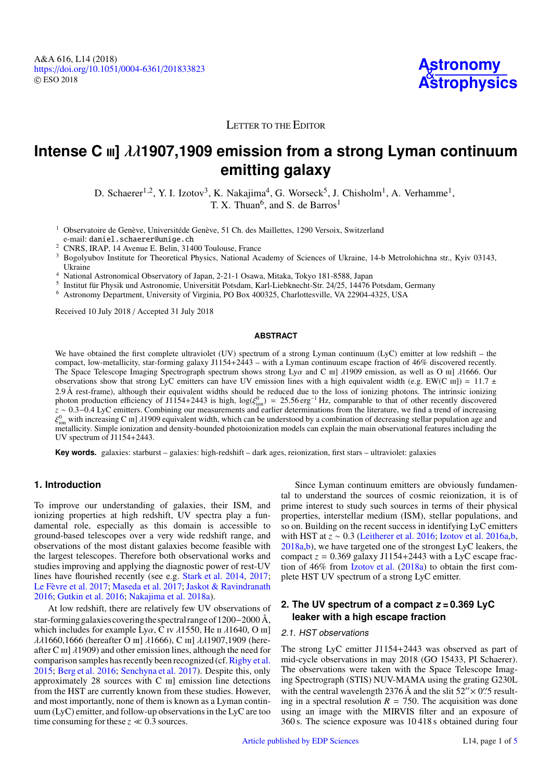

## LETTER TO THE EDITOR

## **Intense C** iii**]** λλ**1907,1909 emission from a strong Lyman continuum emitting galaxy**

D. Schaerer<sup>1,2</sup>, Y. I. Izotov<sup>3</sup>, K. Nakajima<sup>4</sup>, G. Worseck<sup>5</sup>, J. Chisholm<sup>1</sup>, A. Verhamme<sup>1</sup>, T. X. Thuan<sup>6</sup>, and S. de Barros<sup>1</sup>

<sup>1</sup> Observatoire de Genève, Universitéde Genève, 51 Ch. des Maillettes, 1290 Versoix, Switzerland e-mail: daniel.schaerer@unige.ch

<sup>2</sup> CNRS, IRAP, 14 Avenue E. Belin, 31400 Toulouse, France

<sup>3</sup> Bogolyubov Institute for Theoretical Physics, National Academy of Sciences of Ukraine, 14-b Metrolohichna str., Kyiv 03143, Ukraine

<sup>4</sup> National Astronomical Observatory of Japan, 2-21-1 Osawa, Mitaka, Tokyo 181-8588, Japan

5 Institut für Physik und Astronomie, Universität Potsdam, Karl-Liebknecht-Str. 24/25, 14476 Potsdam, Germany

<sup>6</sup> Astronomy Department, University of Virginia, PO Box 400325, Charlottesville, VA 22904-4325, USA

Received 10 July 2018 / Accepted 31 July 2018

### **ABSTRACT**

We have obtained the first complete ultraviolet (UV) spectrum of a strong Lyman continuum (LyC) emitter at low redshift – the compact, low-metallicity, star-forming galaxy J1154+2443 – with a Lyman continuum escape fraction of 46% discovered recently. The Space Telescope Imaging Spectrograph spectrum shows strong Lya and C  $\text{III}$   $\lambda$ 1909 emission, as well as O  $\text{III}$   $\lambda$ 1666. Our observations show that strong LyC emitters can have UV emission lines with a high equivalent width (e.g. EW(C  $\text{III})$ ) = 11.7 ± 2.9 Å rest-frame), although their equivalent widths should be reduced due to the loss of ioni 2.9 Å rest-frame), although their equivalent widths should be reduced due to the loss of ionizing photons. The intrinsic ionizing photons at the intrinsic ionizing photons of  $1154+2443$  is high  $log(\mathcal{E}^0) = 2556$  erg<sup>-1</sup> photon production efficiency of J1154+2443 is high,  $log(\xi_{ion}^0) = 25.56 \text{ erg}^{-1} \text{ Hz}$ , comparable to that of other recently discovered  $z \sim 0.3 - 0.4$  J vC emitters. Combining our measurements and earlier determinations from *z* ∼ 0.3–0.4 LyC emitters. Combining our measurements and earlier determinations from the literature, we find a trend of increasing  $\mathcal{E}^0$  with increasing C ml *1*1909 equivalent width which can be understood by a co Figure is contained in the contraction and density-bounded photoionization models can explain the main observational features including the metallicity. Simple ionization and density-bounded photoionization models can expl <sup>0</sup> with increasing C m]  $\lambda$ 1909 equivalent width, which can be understood by a combination of decreasing stellar population age and density-hounded photoionization models can explain the main observational features inc UV spectrum of J1154+2443.

**Key words.** galaxies: starburst – galaxies: high-redshift – dark ages, reionization, first stars – ultraviolet: galaxies

## **1. Introduction**

To improve our understanding of galaxies, their ISM, and ionizing properties at high redshift, UV spectra play a fundamental role, especially as this domain is accessible to ground-based telescopes over a very wide redshift range, and observations of the most distant galaxies become feasible with the largest telescopes. Therefore both observational works and studies improving and applying the diagnostic power of rest-UV lines have flourished recently (see e.g. Stark et al. 2014, 2017; Le Fèvre et al. 2017; Maseda et al. 2017; Jaskot & Ravindranath 2016; Gutkin et al. 2016; Nakajima et al. 2018a).

At low redshift, there are relatively few UV observations of star-forming galaxiescoveringthe spectral range of 1200−2000 Å, which includes for example Ly $\alpha$ , C iv  $\lambda$ 1550, He ii  $\lambda$ 1640, O iii] λλ1660,1666 (hereafter Ο ιιι] λ1666), C ιιι] λλ1907,1909 (hereafter C  $\text{III}$ ]  $\lambda$ 1909) and other emission lines, although the need for comparison samples has recently been recognized (cf. Rigby et al. 2015; Berg et al. 2016; Senchyna et al. 2017). Despite this, only approximately  $28$  sources with C  $\text{III}$  emission line detections from the HST are currently known from these studies. However, and most importantly, none of them is known as a Lyman continuum (LyC) emitter, and follow-up observations in the LyC are too time consuming for these  $z \ll 0.3$  sources.

Since Lyman continuum emitters are obviously fundamental to understand the sources of cosmic reionization, it is of prime interest to study such sources in terms of their physical properties, interstellar medium (ISM), stellar populations, and so on. Building on the recent success in identifying LyC emitters with HST at *z* ∼ 0.3 (Leitherer et al. 2016; Izotov et al. 2016a,b, 2018a,b), we have targeted one of the strongest LyC leakers, the compact  $z = 0.369$  galaxy J1154+2443 with a LyC escape fraction of 46% from Izotov et al. (2018a) to obtain the first complete HST UV spectrum of a strong LyC emitter.

## **2. The UV spectrum of a compact**  $z = 0.369$  **LyC leaker with a high escape fraction**

## 2.1. HST observations

The strong LyC emitter J1154+2443 was observed as part of mid-cycle observations in may 2018 (GO 15433, PI Schaerer). The observations were taken with the Space Telescope Imaging Spectrograph (STIS) NUV-MAMA using the grating G230L with the central wavelength 2376 Å and the slit  $52'' \times 0$ . Sexult-<br>ing in a spectral resolution  $R = 750$ . The acquisition was done ing in a spectral resolution  $R = 750$ . The acquisition was done using an image with the MIRVIS filter and an exposure of 360 s. The science exposure was 10 418 s obtained during four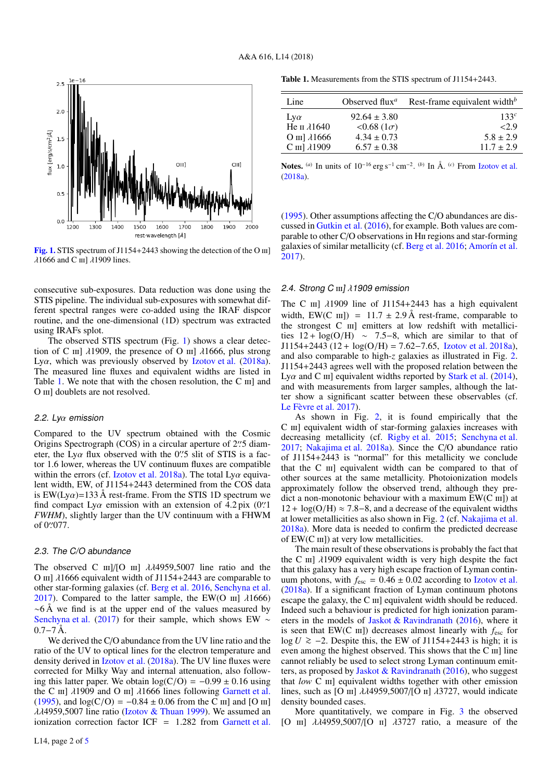

[Fig. 1.](https://dexter.edpsciences.org/applet.php?DOI=10.1051/0004-6361/201833823&pdf_id=1) STIS spectrum of J1154+2443 showing the detection of the O  $\text{III}$ ]  $\lambda$ 1666 and C  $\text{III}$ ]  $\lambda$ 1909 lines.

consecutive sub-exposures. Data reduction was done using the STIS pipeline. The individual sub-exposures with somewhat different spectral ranges were co-added using the IRAF dispcor routine, and the one-dimensional (1D) spectrum was extracted using IRAFs splot.

The observed STIS spectrum (Fig. 1) shows a clear detection of C  $\text{III}$ ]  $\lambda$ 1909, the presence of O  $\text{III}$ ]  $\lambda$ 1666, plus strong Ly $\alpha$ , which was previously observed by Izotov et al. (2018a). The measured line fluxes and equivalent widths are listed in Table 1. We note that with the chosen resolution, the  $C \text{ } \text{ } m \text{ }$  and O III] doublets are not resolved.

#### 2.2. Lyα emission

Compared to the UV spectrum obtained with the Cosmic Origins Spectrograph (COS) in a circular aperture of 2. diam-<br>eter the Ly $\alpha$  flux observed with the 0. diameter, the Ly $\alpha$  flux observed with the 0''. Solit of STIS is a factor 1.6 lower whereas the UV continuum fluxes are compatible tor 1.6 lower, whereas the UV continuum fluxes are compatible within the errors (cf. Izotov et al. 2018a). The total Ly $\alpha$  equivalent width, EW, of J1154+2443 determined from the COS data is EW(Ly $\alpha$ )=133 Å rest-frame. From the STIS 1D spectrum we find compact Ly $\alpha$  emission with an extension of 4.2 pix (0'')<br>FWHM) slightly larger than the UV continuum with a FHWM *FWHM*), slightly larger than the UV continuum with a FHWM of 0''077.

#### 2.3. The C/O abundance

The observed C  $\text{III}$ |/[O  $\text{III}$ ]  $\lambda\lambda$ 4959,5007 line ratio and the O III]  $\lambda$ 1666 equivalent width of J1154+2443 are comparable to other star-forming galaxies (cf. Berg et al. 2016, Senchyna et al. 2017). Compared to the latter sample, the EW(O  $\text{III}$ ]  $\lambda$ 1666)  $~\sim$ 6 Å we find is at the upper end of the values measured by Senchyna et al. (2017) for their sample, which shows EW ∼  $0.7-7 \text{ Å}.$ 

We derived the C/O abundance from the UV line ratio and the ratio of the UV to optical lines for the electron temperature and density derived in Izotov et al. (2018a). The UV line fluxes were corrected for Milky Way and internal attenuation, also following this latter paper. We obtain  $log(C/O) = -0.99 \pm 0.16$  using the C iii]  $\lambda$ 1909 and O iii]  $\lambda$ 1666 lines following Garnett et al. (1995), and  $log(C/O) = -0.84 \pm 0.06$  from the C  $\text{III}$ ] and [O  $\text{III}$ ]  $\lambda\lambda$ 4959,5007 line ratio (Izotov & Thuan 1999). We assumed an ionization correction factor ICF <sup>=</sup> <sup>1</sup>.282 from Garnett et al.

Table 1. Measurements from the STIS spectrum of J1154+2443.

| Line                  | Observed flux <sup><i>a</i></sup> | Rest-frame equivalent width $^b$ |
|-----------------------|-----------------------------------|----------------------------------|
| $Lv\alpha$            | $92.64 \pm 3.80$                  | 133c                             |
| He II $\lambda$ 1640  | $< 0.68$ (1 $\sigma$ )            | 2.9                              |
| O III] $\lambda$ 1666 | $4.34 \pm 0.73$                   | $5.8 \pm 2.9$                    |
| C III] $\lambda$ 1909 | $6.57 \pm 0.38$                   | $11.7 \pm 2.9$                   |
|                       |                                   |                                  |

Notes. <sup>(*a*)</sup> In units of 10<sup>-16</sup> erg s<sup>-1</sup> cm<sup>-2</sup>. <sup>(*b*)</sup> In Å. <sup>(*c*)</sup> From Izotov et al. (2018a).

(1995). Other assumptions affecting the C/O abundances are discussed in Gutkin et al. (2016), for example. Both values are comparable to other C/O observations in Hii regions and star-forming galaxies of similar metallicity (cf. Berg et al. 2016; Amorín et al. 2017).

#### 2.4. Strong C  $\text{III}$   $\lambda$  1909 emission

The C  $\text{III}$ ]  $\lambda$ 1909 line of J1154+2443 has a high equivalent width, EW(C  $\text{III}$ ) = 11.7  $\pm$  2.9 Å rest-frame, comparable to the strongest  $C$   $\text{III}$  emitters at low redshift with metallicities  $12 + \log(O/H) \sim 7.5-8$ , which are similar to that of  $J1154+2443 (12 + log(O/H)) = 7.62-7.65$ , Izotov et al. 2018a), and also comparable to high-*z* galaxies as illustrated in Fig. 2. J1154+2443 agrees well with the proposed relation between the Ly $\alpha$  and C  $\text{III}$ ] equivalent widths reported by Stark et al. (2014), and with measurements from larger samples, although the latter show a significant scatter between these observables (cf. Le Fèvre et al. 2017).

As shown in Fig. 2, it is found empirically that the C III] equivalent width of star-forming galaxies increases with decreasing metallicity (cf. Rigby et al. 2015; Senchyna et al. 2017; Nakajima et al. 2018a). Since the C/O abundance ratio of J1154+2443 is "normal" for this metallicity we conclude that the  $C$   $\text{III}$ ] equivalent width can be compared to that of other sources at the same metallicity. Photoionization models approximately follow the observed trend, although they predict a non-monotonic behaviour with a maximum  $EW(C \text{ III})$  at  $12 + \log(O/H) \approx 7.8 - 8$ , and a decrease of the equivalent widths at lower metallicities as also shown in Fig. 2 (cf. Nakajima et al. 2018a). More data is needed to confirm the predicted decrease of  $EW(C \text{ III})$  at very low metallicities.

The main result of these observations is probably the fact that the C  $\text{III}$ ]  $\lambda$ 1909 equivalent width is very high despite the fact that this galaxy has a very high escape fraction of Lyman continuum photons, with  $f_{\text{esc}} = 0.46 \pm 0.02$  according to Izotov et al. (2018a). If a significant fraction of Lyman continuum photons escape the galaxy, the C  $\text{III}$  equivalent width should be reduced. Indeed such a behaviour is predicted for high ionization parameters in the models of Jaskot & Ravindranath (2016), where it is seen that EW(C  $\text{III}$ ) decreases almost linearly with  $f_{\text{esc}}$  for log *U*  $\ge$  −2. Despite this, the EW of J1154+2443 is high; it is even among the highest observed. This shows that the C iii] line cannot reliably be used to select strong Lyman continuum emitters, as proposed by Jaskot & Ravindranath (2016), who suggest that *low* C III] equivalent widths together with other emission lines, such as [O  $\text{III}$ ]  $\lambda\lambda$ 4959,5007/[O  $\text{II}$ ]  $\lambda$ 3727, would indicate density bounded cases.

More quantitatively, we compare in Fig. 3 the observed [O  $\text{III}$ ]  $\lambda\lambda$ 4959,5007/[O  $\text{II}$ ]  $\lambda$ 3727 ratio, a measure of the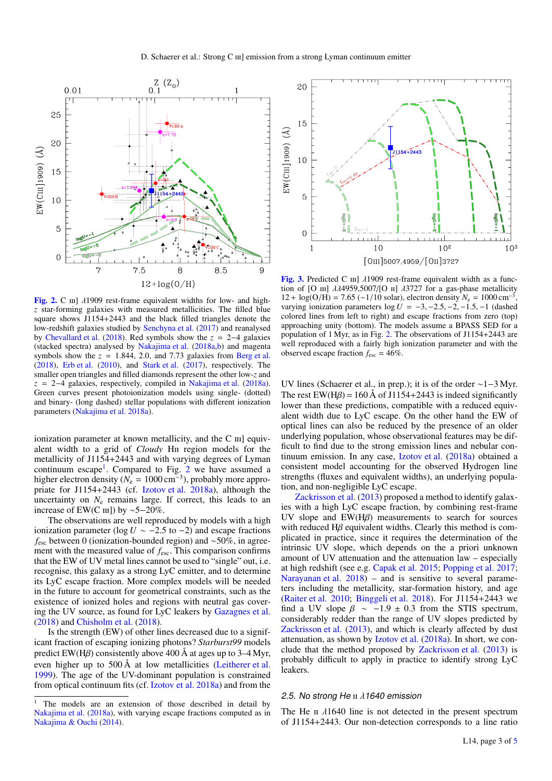

[Fig. 2.](https://dexter.edpsciences.org/applet.php?DOI=10.1051/0004-6361/201833823&pdf_id=2) C  $\text{III}$ ]  $\lambda$ 1909 rest-frame equivalent widths for low- and high*z* star-forming galaxies with measured metallicities. The filled blue square shows J1154+2443 and the black filled triangles denote the low-redshift galaxies studied by Senchyna et al. (2017) and reanalysed by Chevallard et al. (2018). Red symbols show the *z* = 2−4 galaxies (stacked spectra) analysed by Nakajima et al. (2018a,b) and magenta symbols show the  $z = 1.844$ , 2.0, and 7.73 galaxies from Berg et al. (2018), Erb et al. (2010), and Stark et al. (2017), respectively. The smaller open triangles and filled diamonds represent the other low-*z* and *z* = 2−4 galaxies, respectively, compiled in Nakajima et al. (2018a). Green curves present photoionization models using single- (dotted) and binary- (long dashed) stellar populations with different ionization parameters (Nakajima et al. 2018a).

ionization parameter at known metallicity, and the  $C$   $\text{III}$ ] equivalent width to a grid of *Cloudy* H<sub>II</sub> region models for the metallicity of J1154+2443 and with varying degrees of Lyman continuum escape<sup>1</sup>. Compared to Fig. 2 we have assumed a higher electron density ( $N_e = 1000 \text{ cm}^{-3}$ ), probably more appropriate for J1154+2443 (cf. Izotov et al. 2018a), although the uncertainty on  $N_e$  remains large. If correct, this leads to an increase of EW(C  $\text{III}$ ) by ~5−20%.

The observations are well reproduced by models with a high ionization parameter ( $log U$  ∼ −2.5 to −2) and escape fractions *f*<sub>esc</sub> between 0 (ionization-bounded region) and ∼50%, in agreement with the measured value of  $f_{\text{esc}}$ . This comparison confirms that the EW of UV metal lines cannot be used to "single" out, i.e. recognise, this galaxy as a strong LyC emitter, and to determine its LyC escape fraction. More complex models will be needed in the future to account for geometrical constraints, such as the existence of ionized holes and regions with neutral gas covering the UV source, as found for LyC leakers by Gazagnes et al. (2018) and Chisholm et al. (2018).

Is the strength (EW) of other lines decreased due to a significant fraction of escaping ionizing photons? *Starburst99* models predict EW(H $\beta$ ) consistently above 400 Å at ages up to 3–4 Myr, even higher up to 500 Å at low metallicities (Leitherer et al. 1999). The age of the UV-dominant population is constrained from optical continuum fits (cf. Izotov et al. 2018a) and from the



[Fig. 3.](https://dexter.edpsciences.org/applet.php?DOI=10.1051/0004-6361/201833823&pdf_id=3) Predicted C  $\text{III}$ ]  $\lambda$ 1909 rest-frame equivalent width as a function of [O  $\text{III}$ ]  $\lambda\lambda$ 4959,5007/[O  $\text{II}$ ]  $\lambda$ 3727 for a gas-phase metallicity 12 + log(O/H) = 7.65 (∼1/10 solar), electron density  $N_e = 1000 \text{ cm}^{-3}$ , varying ionization parameters  $log U = -3, -2.5, -2, -1.5, -1$  (dashed colored lines from left to right) and escape fractions from zero (top) approaching unity (bottom). The models assume a BPASS SED for a population of 1 Myr, as in Fig. 2. The observations of J1154+2443 are well reproduced with a fairly high ionization parameter and with the observed escape fraction  $f_{\text{esc}} = 46\%$ .

UV lines (Schaerer et al., in prep.); it is of the order ∼1−3 Myr. The rest EW(H $\beta$ ) = 160 Å of J1154+2443 is indeed significantly lower than these predictions, compatible with a reduced equivalent width due to LyC escape. On the other hand the EW of optical lines can also be reduced by the presence of an older underlying population, whose observational features may be difficult to find due to the strong emission lines and nebular continuum emission. In any case, Izotov et al. (2018a) obtained a consistent model accounting for the observed Hydrogen line strengths (fluxes and equivalent widths), an underlying population, and non-negligible LyC escape.

Zackrisson et al. (2013) proposed a method to identify galaxies with a high LyC escape fraction, by combining rest-frame UV slope and  $EW(H\beta)$  measurements to search for sources with reduced  $H\beta$  equivalent widths. Clearly this method is complicated in practice, since it requires the determination of the intrinsic UV slope, which depends on the a priori unknown amount of UV attenuation and the attenuation law – especially at high redshift (see e.g. Capak et al. 2015; Popping et al. 2017; Narayanan et al. 2018) – and is sensitive to several parameters including the metallicity, star-formation history, and age (Raiter et al. 2010; Binggeli et al. 2018). For J1154+2443 we find a UV slope  $\beta \sim -1.9 \pm 0.3$  from the STIS spectrum, considerably redder than the range of UV slopes predicted by Zackrisson et al. (2013), and which is clearly affected by dust attenuation, as shown by Izotov et al. (2018a). In short, we conclude that the method proposed by Zackrisson et al. (2013) is probably difficult to apply in practice to identify strong LyC leakers.

### 2.5. No strong He  $\text{II}$   $\lambda$ 1640 emission

The He  $\pi$   $\lambda$ 1640 line is not detected in the present spectrum of J1154+2443. Our non-detection corresponds to a line ratio

<sup>&</sup>lt;sup>1</sup> The models are an extension of those described in detail by Nakajima et al. (2018a), with varying escape fractions computed as in Nakajima & Ouchi (2014).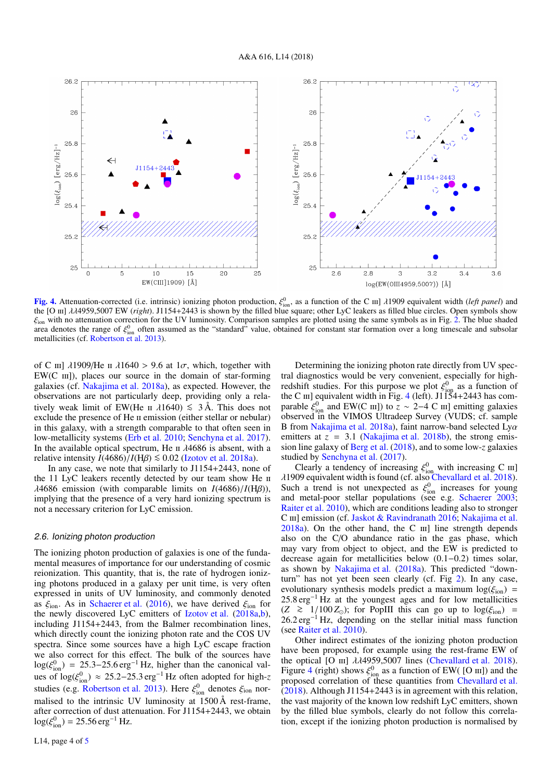$26.2$ 26.2 26 26  $25.8$  $25.8$  $log(\xi_{\text{ion}})$  [erg/Hz]<sup>-1</sup>  $\log(\xi_{\rm ion})$  [erg/Hz]<sup>-1</sup> 25.6 25.6  $25.4$  $25.4$  $25.5$  $25.2$ 25 25  $\Omega$  $\overline{5}$  $10$ 15 20  $25$  $2.6$  $2.8$  $\overline{\mathcal{E}}$  $3.2$  $3.4$  $3.6$ EW(CIII]1909) [Å] log(EW(0III4959,5007)) [Å]

**[Fig. 4.](https://dexter.edpsciences.org/applet.php?DOI=10.1051/0004-6361/201833823&pdf_id=4)** Attenuation-corrected (i.e. intrinsic) ionizing photon production,  $ξ<sup>0</sup><sub>0</sub>$ , as a function of the C  $\text{III}$   $\lambda$ 1909 equivalent width (*left panel*) and the IO ml  $\lambda$  $\lambda$ 4959 5007 EW (*right*) I1154+24 the [O ιιι] λλ4959,5007 EW (*right*). J1154+2443 is shown by the filled blue square; other LyC leakers as filled blue circles. Open symbols show  $\xi_{\text{ion}}$  with no attenuation correction for the UV luminosity. Comparison samples are plotted using the same symbols as in Fig. 2. The blue shaded area denotes the range of  $\xi_{\text{ion}}^0$  often assumed as the "standard" value, obtained for constant star formation over a long timescale and subsolar<br>metallicities (cf. Robertson et al. 2013) metallicities (cf. Robertson et al. 2013).

of C  $\text{III}$ ]  $\lambda$ 1909/He  $\text{II}$   $\lambda$ 1640 > 9.6 at  $1\sigma$ , which, together with  $EW(C \t{III})$ , places our source in the domain of star-forming galaxies (cf. Nakajima et al. 2018a), as expected. However, the observations are not particularly deep, providing only a relatively weak limit of EW(He  $\pi$   $\lambda$ 1640)  $\leq$  3Å. This does not exclude the presence of He II emission (either stellar or nebular) in this galaxy, with a strength comparable to that often seen in low-metallicity systems (Erb et al. 2010; Senchyna et al. 2017). In the available optical spectrum, He  $\pi$   $\lambda$ 4686 is absent, with a relative intensity  $I(4686)/I(H\beta) \le 0.02$  (Izotov et al. 2018a).

In any case, we note that similarly to J1154+2443, none of the 11 LyC leakers recently detected by our team show He ii  $\lambda$ 4686 emission (with comparable limits on *I*(4686)/*I*(H $\beta$ )), implying that the presence of a very hard ionizing spectrum is not a necessary criterion for LyC emission.

#### 2.6. Ionizing photon production

The ionizing photon production of galaxies is one of the fundamental measures of importance for our understanding of cosmic reionization. This quantity, that is, the rate of hydrogen ionizing photons produced in a galaxy per unit time, is very often expressed in units of UV luminosity, and commonly denoted as  $\xi_{\text{ion}}$ . As in Schaerer et al. (2016), we have derived  $\xi_{\text{ion}}$  for the newly discovered LyC emitters of Izotov et al. (2018a,b), including J1154+2443, from the Balmer recombination lines, which directly count the ionizing photon rate and the COS UV spectra. Since some sources have a high LyC escape fraction we also correct for this effect. The bulk of the sources have  $\log(\xi)$  $\binom{0}{100}$  = 25.3–25.6 erg<sup>-1</sup> Hz, higher than the canonical values of  $\binom{0}{2}$  and  $\binom{25}{3}$  arg<sup>-1</sup> Hz often adopted for high a ues of  $\log(\xi_{\text{ion}}^{0}) \approx 25.2 - 25.3 \text{ erg}^{-1}$  Hz often adopted for high-z<br>studies (e.g. Repeats) 1, Here  $\xi_{\text{on}}^{0}$  denotes  $\xi_{\text{on}}$  per studies (e.g. Robertson et al. 2013). Here  $\xi_{\text{ion}}^0$  denotes  $\xi_{\text{ion}}$  nor-<br>maligad to the intrinsic LIV luminosity at 1500  $\overset{5}{\theta}$  nort frame. malised to the intrinsic UV luminosity at 1500 Å rest-frame, after correction of dust attenuation. For J1154+2443, we obtain  $log(\xi_{\text{ion}}^0) = 25.56 \text{ erg}^{-1} \text{ Hz}.$ 

Determining the ionizing photon rate directly from UV spectral diagnostics would be very convenient, especially for highredshift studies. For this purpose we plot  $\xi_{\text{ion}}^0$  as a function of<br>the C ml equivalent width in Fig. 4 (left) 11154+2443 has comthe C  $\text{III}$ ] equivalent width in Fig. 4 (left). J1154+2443 has comparable  $\xi_{0n}^{(0)}$  and EW(C iii) to  $z \sim 2-4$  C iii] emitting galaxies<br>observed in the VIMOS Ultradeen Survey (VUDS: cf. sample observed in the VIMOS Ultradeep Survey (VUDS; cf. sample B from Nakajima et al. 2018a), faint narrow-band selected  $Ly\alpha$ emitters at  $z = 3.1$  (Nakajima et al. 2018b), the strong emission line galaxy of Berg et al. (2018), and to some low-*z* galaxies studied by Senchyna et al. (2017).

Clearly a tendency of increasing  $\xi_{\text{ion}}^0$  with increasing C iii]<br>09 equivalent width is found (cf. also Chevallard et al. 2018)  $\lambda$ 1909 equivalent width is found (cf. also Chevallard et al. 2018).<br>Such a trend is not unexpected as  $\mathcal{E}^0$  increases for young Such a trend is not unexpected as  $\xi_{\text{ion}}^0$  increases for young<br>and metal-poor stellar populations (see e.g. Schaerer 2003; and metal-poor stellar populations (see e.g. Schaerer 2003; Raiter et al. 2010), which are conditions leading also to stronger C III] emission (cf. Jaskot & Ravindranath 2016; Nakajima et al.  $2018a$ ). On the other hand, the C  $\text{III}$  line strength depends also on the C/O abundance ratio in the gas phase, which may vary from object to object, and the EW is predicted to decrease again for metallicities below (0.1−0.2) times solar, as shown by Nakajima et al. (2018a). This predicted "downturn" has not yet been seen clearly (cf. Fig 2). In any case, evolutionary synthesis models predict a maximum  $log(\xi_{ion})$  = 25.8 erg<sup>-1</sup> Hz at the youngest ages and for low metallicities  $(Z \ge 1/100 Z_{\odot})$ ; for PopIII this can go up to log( $\xi_{\text{ion}}$ ) =  $26.2 \text{ erg}^{-1}$  Hz, depending on the stellar initial mass function (see Raiter et al. 2010).

Other indirect estimates of the ionizing photon production have been proposed, for example using the rest-frame EW of the optical  $[O \text{ m}]$   $\lambda \lambda 4959,5007$  lines (Chevallard et al. 2018).<br>Figure 4 (right) shows  $\mathcal{E}^0$  as a function of EW([O m]) and the Figure 4 (right) shows  $\xi_{00}^{0}$  as a function of EW( [O iii]) and the proposed correlation of these quantities from Chevallard et al. proposed correlation of these quantities from Chevallard et al. (2018). Although J1154+2443 is in agreement with this relation, the vast majority of the known low redshift LyC emitters, shown by the filled blue symbols, clearly do not follow this correlation, except if the ionizing photon production is normalised by